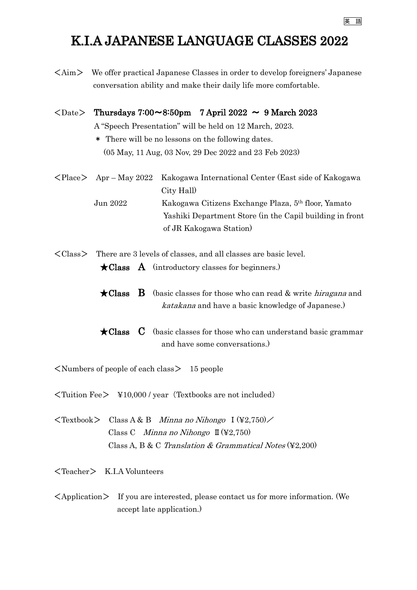## K.I.A JAPANESE LANGUAGE CLASSES 2022

<Aim> We offer practical Japanese Classes in order to develop foreigners' Japanese conversation ability and make their daily life more comfortable.

## $\langle$ Date $>$  Thursdays 7:00 $\sim$ 8:50pm 7 April 2022  $\sim$  9 March 2023

A "Speech Presentation" will be held on 12 March, 2023.

- \* There will be no lessons on the following dates. (05 May, 11 Aug, 03 Nov, 29 Dec 2022 and 23 Feb 2023)
- <Place> Apr May 2022 Kakogawa International Center (East side of Kakogawa City Hall) Jun 2022 Kakogawa Citizens Exchange Plaza, 5th floor, Yamato Yashiki Department Store (in the Capil building in front of JR Kakogawa Station)
- <Class> There are 3 levels of classes, and all classes are basic level.
	- $\bigstar$ Class A (introductory classes for beginners.)
	- $\bigstar$ Class  $\,$  B (basic classes for those who can read & write *hiragana* and katakana and have a basic knowledge of Japanese.)
	- $\star$ Class  $\,$  C (basic classes for those who can understand basic grammar and have some conversations.)

 $\leq$ Numbers of people of each class $>15$  people

 $\langle$ Tuition Fee $\rangle$  \lapshbooks (Textbooks are not included)

 $\langle$ Textbook> Class A & B *Minna no Nihongo*  $\left[\frac{42,750}{\angle}\right]$ Class C Minna no Nihongo  $\mathbb{I}$  (¥2,750) Class A, B & C Translation & Grammatical Notes (¥2,200)

<Teacher> K.I.A Volunteers

<Application> If you are interested, please contact us for more information. (We accept late application.)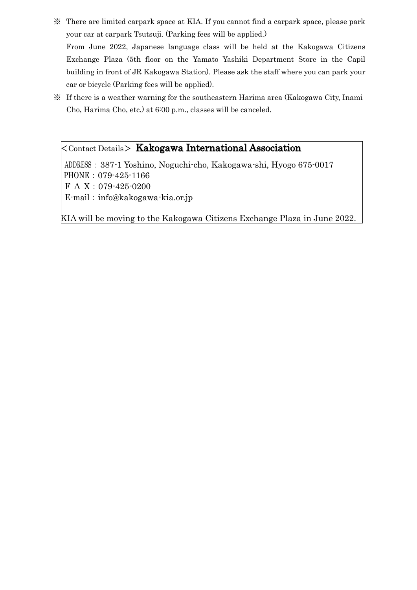- ※ There are limited carpark space at KIA. If you cannot find a carpark space, please park your car at carpark Tsutsuji. (Parking fees will be applied.) From June 2022, Japanese language class will be held at the Kakogawa Citizens Exchange Plaza (5th floor on the Yamato Yashiki Department Store in the Capil building in front of JR Kakogawa Station). Please ask the staff where you can park your car or bicycle (Parking fees will be applied).
- ※ If there is a weather warning for the southeastern Harima area (Kakogawa City, Inami Cho, Harima Cho, etc.) at 6:00 p.m., classes will be canceled.

<Contact Details> Kakogawa International Association

ADDRESS:387-1 Yoshino, Noguchi-cho, Kakogawa-shi, Hyogo 675-0017 PHONE:079-425-1166 F A X:079-425-0200 E-mail:[info@kakogawa-kia.or.jp](mailto:info@kakogawa-kia.or.jp)

KIA will be moving to the Kakogawa Citizens Exchange Plaza in June 2022.